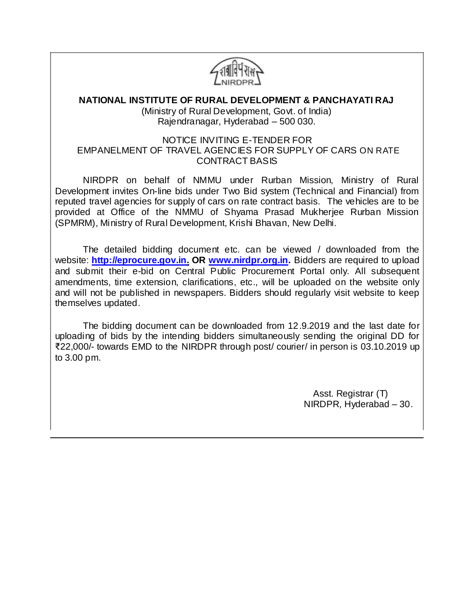

# **NATIONAL INSTITUTE OF RURAL DEVELOPMENT & PANCHAYATI RAJ**

(Ministry of Rural Development, Govt. of India) Rajendranagar, Hyderabad – 500 030.

#### NOTICE INVITING E-TENDER FOR EMPANELMENT OF TRAVEL AGENCIES FOR SUPPLY OF CARS ON RATE CONTRACT BASIS

NIRDPR on behalf of NMMU under Rurban Mission, Ministry of Rural Development invites On-line bids under Two Bid system (Technical and Financial) from reputed travel agencies for supply of cars on rate contract basis. The vehicles are to be provided at Office of the NMMU of Shyama Prasad Mukherjee Rurban Mission (SPMRM), Ministry of Rural Development, Krishi Bhavan, New Delhi.

The detailed bidding document etc. can be viewed / downloaded from the website: **http://eprocure.gov.in. OR [www.nirdpr.org.in.](http://www.nirdpr.org.in/)** Bidders are required to upload and submit their e-bid on Central Public Procurement Portal only. All subsequent amendments, time extension, clarifications, etc., will be uploaded on the website only and will not be published in newspapers. Bidders should regularly visit website to keep themselves updated.

The bidding document can be downloaded from 12.9.2019 and the last date for uploading of bids by the intending bidders simultaneously sending the original DD for ₹22,000/- towards EMD to the NIRDPR through post/ courier/ in person is 03.10.2019 up to 3.00 pm.

> Asst. Registrar (T) NIRDPR, Hyderabad – 30.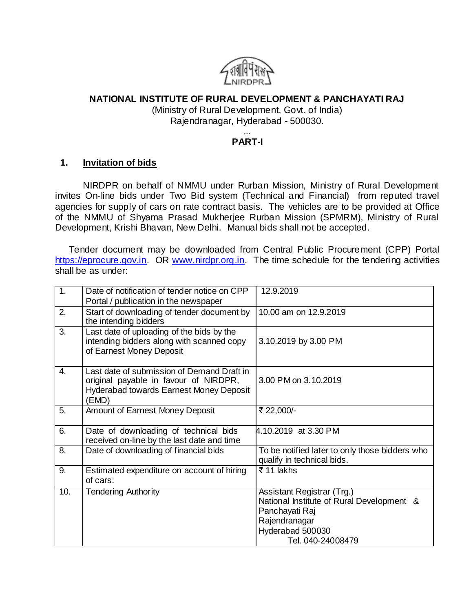

### **NATIONAL INSTITUTE OF RURAL DEVELOPMENT & PANCHAYATI RAJ**

(Ministry of Rural Development, Govt. of India) Rajendranagar, Hyderabad - 500030.

#### ... **PART-I**

#### **1. Invitation of bids**

NIRDPR on behalf of NMMU under Rurban Mission, Ministry of Rural Development invites On-line bids under Two Bid system (Technical and Financial) from reputed travel agencies for supply of cars on rate contract basis. The vehicles are to be provided at Office of the NMMU of Shyama Prasad Mukherjee Rurban Mission (SPMRM), Ministry of Rural Development, Krishi Bhavan, New Delhi. Manual bids shall not be accepted.

Tender document may be downloaded from Central Public Procurement (CPP) Portal [https://eprocure.gov.in.](https://eprocure.gov.in/) OR [www.nirdpr.org.in.](http://www.nirdpr.org.in/) The time schedule for the tendering activities shall be as under:

| 1.  | Date of notification of tender notice on CPP<br>Portal / publication in the newspaper                                                          | 12.9.2019                                                                                                                                           |
|-----|------------------------------------------------------------------------------------------------------------------------------------------------|-----------------------------------------------------------------------------------------------------------------------------------------------------|
| 2.  | Start of downloading of tender document by<br>the intending bidders                                                                            | 10.00 am on 12.9.2019                                                                                                                               |
| 3.  | Last date of uploading of the bids by the<br>intending bidders along with scanned copy<br>of Earnest Money Deposit                             | 3.10.2019 by 3.00 PM                                                                                                                                |
| 4.  | Last date of submission of Demand Draft in<br>original payable in favour of NIRDPR,<br><b>Hyderabad towards Earnest Money Deposit</b><br>(EMD) | 3.00 PM on 3.10.2019                                                                                                                                |
| 5.  | Amount of Earnest Money Deposit                                                                                                                | ₹ 22,000/-                                                                                                                                          |
| 6.  | Date of downloading of technical bids<br>received on-line by the last date and time                                                            | 4.10.2019 at 3.30 PM                                                                                                                                |
| 8.  | Date of downloading of financial bids                                                                                                          | To be notified later to only those bidders who<br>qualify in technical bids.                                                                        |
| 9.  | Estimated expenditure on account of hiring<br>of cars:                                                                                         | ₹ 11 lakhs                                                                                                                                          |
| 10. | <b>Tendering Authority</b>                                                                                                                     | Assistant Registrar (Trg.)<br>National Institute of Rural Development &<br>Panchayati Raj<br>Rajendranagar<br>Hyderabad 500030<br>Tel. 040-24008479 |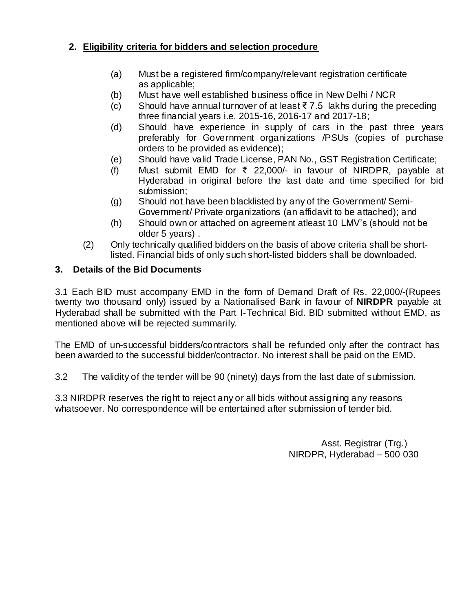# **2. Eligibility criteria for bidders and selection procedure**

- (a) Must be a registered firm/company/relevant registration certificate as applicable;
- (b) Must have well established business office in New Delhi / NCR
- (c) Should have annual turnover of at least ₹ 7.5 lakhs during the preceding three financial years i.e. 2015-16, 2016-17 and 2017-18;
- (d) Should have experience in supply of cars in the past three years preferably for Government organizations /PSUs (copies of purchase orders to be provided as evidence);
- (e) Should have valid Trade License, PAN No., GST Registration Certificate;
- (f) Must submit EMD for ₹ 22,000/- in favour of NIRDPR, payable at Hyderabad in original before the last date and time specified for bid submission;
- (g) Should not have been blacklisted by any of the Government/ Semi-Government/ Private organizations (an affidavit to be attached); and
- (h) Should own or attached on agreement atleast 10 LMV's (should not be older 5 years) .
- (2) Only technically qualified bidders on the basis of above criteria shall be shortlisted. Financial bids of only such short-listed bidders shall be downloaded.

# **3. Details of the Bid Documents**

3.1 Each BID must accompany EMD in the form of Demand Draft of Rs. 22,000/-(Rupees twenty two thousand only) issued by a Nationalised Bank in favour of **NIRDPR** payable at Hyderabad shall be submitted with the Part I-Technical Bid. BID submitted without EMD, as mentioned above will be rejected summarily.

The EMD of un-successful bidders/contractors shall be refunded only after the contract has been awarded to the successful bidder/contractor. No interest shall be paid on the EMD.

3.2 The validity of the tender will be 90 (ninety) days from the last date of submission.

3.3 NIRDPR reserves the right to reject any or all bids without assigning any reasons whatsoever. No correspondence will be entertained after submission of tender bid.

> Asst. Registrar (Trg.) NIRDPR, Hyderabad – 500 030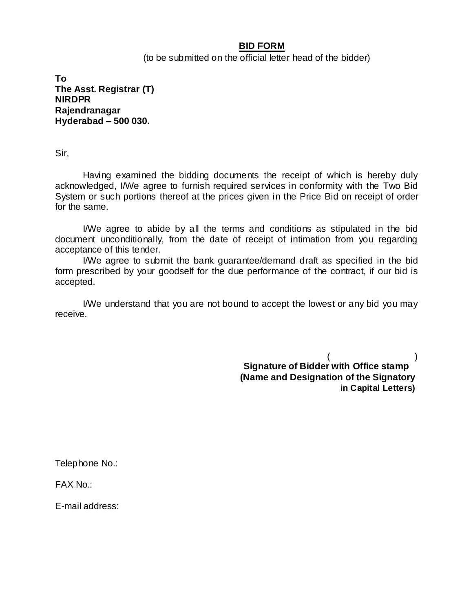#### **BID FORM**

(to be submitted on the official letter head of the bidder)

**To The Asst. Registrar (T) NIRDPR Rajendranagar Hyderabad – 500 030.**

Sir,

Having examined the bidding documents the receipt of which is hereby duly acknowledged, I/We agree to furnish required services in conformity with the Two Bid System or such portions thereof at the prices given in the Price Bid on receipt of order for the same.

I/We agree to abide by all the terms and conditions as stipulated in the bid document unconditionally, from the date of receipt of intimation from you regarding acceptance of this tender.

I/We agree to submit the bank guarantee/demand draft as specified in the bid form prescribed by your goodself for the due performance of the contract, if our bid is accepted.

I/We understand that you are not bound to accept the lowest or any bid you may receive.

> $($  ) **Signature of Bidder with Office stamp (Name and Designation of the Signatory in Capital Letters)**

Telephone No.:

FAX No.:

E-mail address: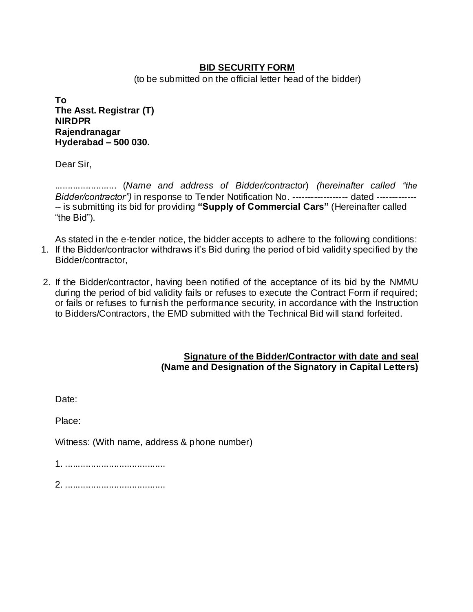### **BID SECURITY FORM**

(to be submitted on the official letter head of the bidder)

**To The Asst. Registrar (T) NIRDPR Rajendranagar Hyderabad – 500 030.**

Dear Sir,

........................ (*Name and address of Bidder/contractor*) *(hereinafter called "the Bidder/contractor"*) in response to Tender Notification No. ------------------ dated --------------- is submitting its bid for providing **"Supply of Commercial Cars"** (Hereinafter called "the Bid").

As stated in the e-tender notice, the bidder accepts to adhere to the following conditions: 1. If the Bidder/contractor withdraws it's Bid during the period of bid validity specified by the Bidder/contractor,

2. If the Bidder/contractor, having been notified of the acceptance of its bid by the NMMU during the period of bid validity fails or refuses to execute the Contract Form if required; or fails or refuses to furnish the performance security, in accordance with the Instruction to Bidders/Contractors, the EMD submitted with the Technical Bid will stand forfeited.

#### **Signature of the Bidder/Contractor with date and seal (Name and Designation of the Signatory in Capital Letters)**

Date: Place: Witness: (With name, address & phone number) 1. ....................................... 2. .......................................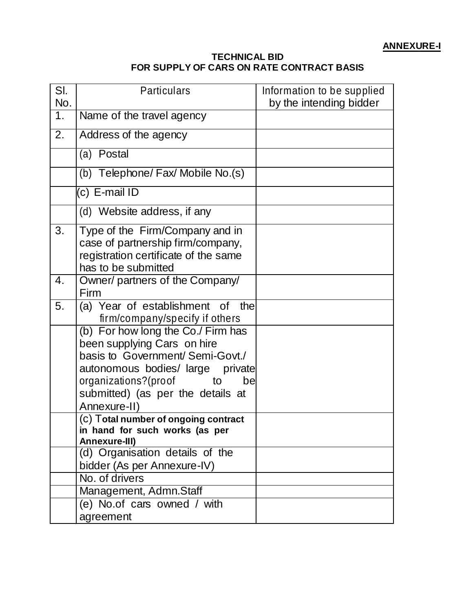### **TECHNICAL BID FOR SUPPLY OF CARS ON RATE CONTRACT BASIS**

| SI.<br>No. | <b>Particulars</b>                                                                                                                                                                                                                | Information to be supplied<br>by the intending bidder |
|------------|-----------------------------------------------------------------------------------------------------------------------------------------------------------------------------------------------------------------------------------|-------------------------------------------------------|
| 1.         | Name of the travel agency                                                                                                                                                                                                         |                                                       |
| 2.         | Address of the agency                                                                                                                                                                                                             |                                                       |
|            | (a) Postal                                                                                                                                                                                                                        |                                                       |
|            | (b) Telephone/ Fax/ Mobile No.(s)                                                                                                                                                                                                 |                                                       |
|            | (c) E-mail ID                                                                                                                                                                                                                     |                                                       |
|            | (d) Website address, if any                                                                                                                                                                                                       |                                                       |
| 3.         | Type of the Firm/Company and in<br>case of partnership firm/company,<br>registration certificate of the same<br>has to be submitted                                                                                               |                                                       |
| 4.         | Owner/ partners of the Company/<br>Firm                                                                                                                                                                                           |                                                       |
| 5.         | (a) Year of establishment of<br>the<br>firm/company/specify if others                                                                                                                                                             |                                                       |
|            | (b) For how long the Co./ Firm has<br>been supplying Cars on hire<br>basis to Government/Semi-Govt./<br>autonomous bodies/ large private<br>organizations?(proof<br>to<br>be<br>submitted) (as per the details at<br>Annexure-II) |                                                       |
|            | (c) Total number of ongoing contract<br>in hand for such works (as per<br>Annexure-III)                                                                                                                                           |                                                       |
|            | (d) Organisation details of the<br>bidder (As per Annexure-IV)                                                                                                                                                                    |                                                       |
|            | No. of drivers                                                                                                                                                                                                                    |                                                       |
|            | Management, Admn.Staff                                                                                                                                                                                                            |                                                       |
|            | (e) No.of cars owned / with<br>agreement                                                                                                                                                                                          |                                                       |
|            |                                                                                                                                                                                                                                   |                                                       |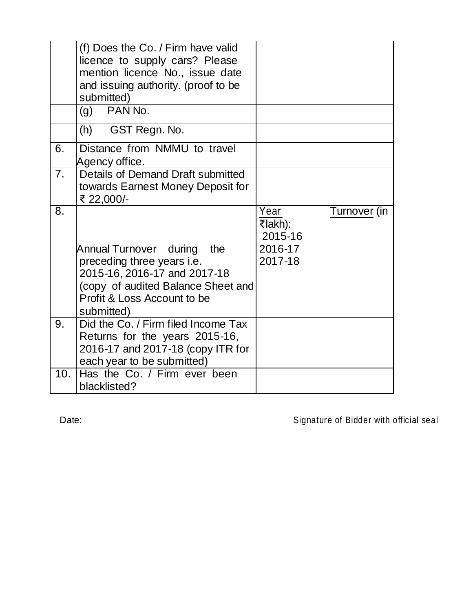|                 | (f) Does the Co. / Firm have valid<br>licence to supply cars? Please<br>mention licence No., issue date<br>and issuing authority. (proof to be                                        |                                                                  |
|-----------------|---------------------------------------------------------------------------------------------------------------------------------------------------------------------------------------|------------------------------------------------------------------|
|                 | submitted)<br>PAN No.<br>(g)                                                                                                                                                          |                                                                  |
|                 | GST Regn. No.<br>(h)                                                                                                                                                                  |                                                                  |
| 6.              | Distance from NMMU to travel<br>Agency office.                                                                                                                                        |                                                                  |
| 7 <sub>1</sub>  | Details of Demand Draft submitted<br>towards Earnest Money Deposit for<br>₹ 22,000/-                                                                                                  |                                                                  |
| 8.              | Annual Turnover during<br>the<br>preceding three years <i>i.e.</i><br>2015-16, 2016-17 and 2017-18<br>(copy of audited Balance Sheet and<br>Profit & Loss Account to be<br>submitted) | Year<br>Turnover (in<br>₹lakh):<br>2015-16<br>2016-17<br>2017-18 |
| 9.              | Did the Co. / Firm filed Income Tax<br>Returns for the years 2015-16,<br>2016-17 and 2017-18 (copy ITR for<br>each year to be submitted)                                              |                                                                  |
| 10 <sub>1</sub> | Has the Co. / Firm ever been<br>blacklisted?                                                                                                                                          |                                                                  |

Date: Case of Bidder with official seal Date: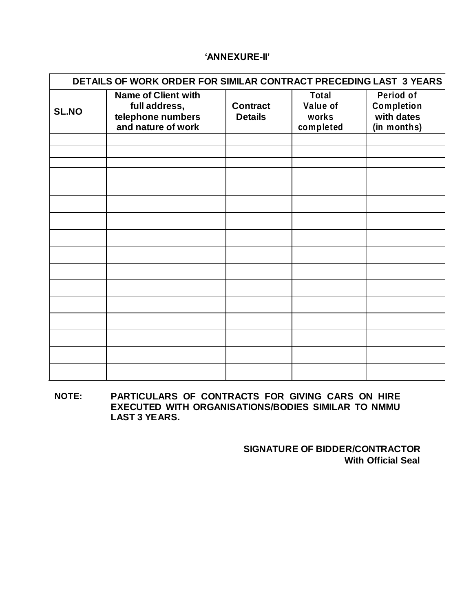#### **'ANNEXURE-II'**

|              | DETAILS OF WORK ORDER FOR SIMILAR CONTRACT PRECEDING LAST 3 YEARS                      |                                   |                                                |                                                      |  |  |
|--------------|----------------------------------------------------------------------------------------|-----------------------------------|------------------------------------------------|------------------------------------------------------|--|--|
| <b>SL.NO</b> | <b>Name of Client with</b><br>full address,<br>telephone numbers<br>and nature of work | <b>Contract</b><br><b>Details</b> | <b>Total</b><br>Value of<br>works<br>completed | Period of<br>Completion<br>with dates<br>(in months) |  |  |
|              |                                                                                        |                                   |                                                |                                                      |  |  |
|              |                                                                                        |                                   |                                                |                                                      |  |  |
|              |                                                                                        |                                   |                                                |                                                      |  |  |
|              |                                                                                        |                                   |                                                |                                                      |  |  |
|              |                                                                                        |                                   |                                                |                                                      |  |  |
|              |                                                                                        |                                   |                                                |                                                      |  |  |
|              |                                                                                        |                                   |                                                |                                                      |  |  |
|              |                                                                                        |                                   |                                                |                                                      |  |  |
|              |                                                                                        |                                   |                                                |                                                      |  |  |
|              |                                                                                        |                                   |                                                |                                                      |  |  |
|              |                                                                                        |                                   |                                                |                                                      |  |  |
|              |                                                                                        |                                   |                                                |                                                      |  |  |
|              |                                                                                        |                                   |                                                |                                                      |  |  |
|              |                                                                                        |                                   |                                                |                                                      |  |  |
|              |                                                                                        |                                   |                                                |                                                      |  |  |

**NOTE: PARTICULARS OF CONTRACTS FOR GIVING CARS ON HIRE EXECUTED WITH ORGANISATIONS/BODIES SIMILAR TO NMMU LAST 3 YEARS.**

> **SIGNATURE OF BIDDER/CONTRACTOR With Official Seal**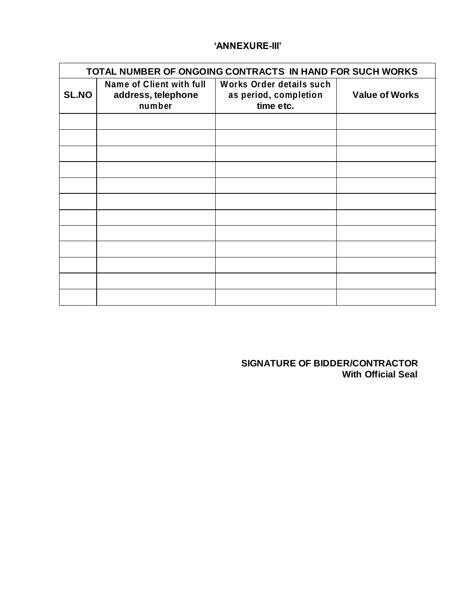### **'ANNEXURE-III'**

|              | TOTAL NUMBER OF ONGOING CONTRACTS IN HAND FOR SUCH WORKS        |                                                                |                       |  |
|--------------|-----------------------------------------------------------------|----------------------------------------------------------------|-----------------------|--|
| <b>SL.NO</b> | <b>Name of Client with full</b><br>address, telephone<br>number | Works Order details such<br>as period, completion<br>time etc. | <b>Value of Works</b> |  |
|              |                                                                 |                                                                |                       |  |
|              |                                                                 |                                                                |                       |  |
|              |                                                                 |                                                                |                       |  |
|              |                                                                 |                                                                |                       |  |
|              |                                                                 |                                                                |                       |  |
|              |                                                                 |                                                                |                       |  |
|              |                                                                 |                                                                |                       |  |
|              |                                                                 |                                                                |                       |  |
|              |                                                                 |                                                                |                       |  |
|              |                                                                 |                                                                |                       |  |
|              |                                                                 |                                                                |                       |  |
|              |                                                                 |                                                                |                       |  |

**SIGNATURE OF BIDDER/CONTRACTOR With Official Seal**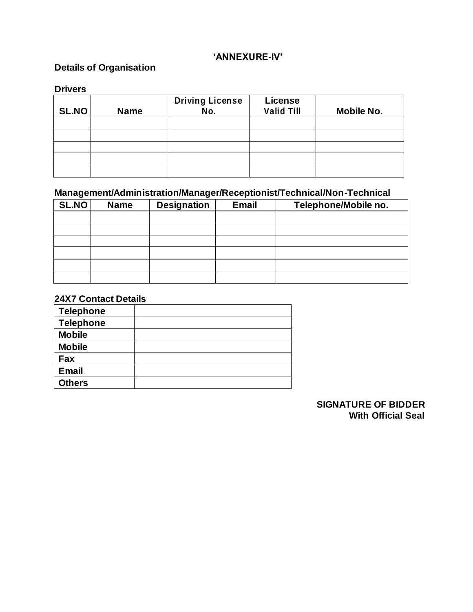### **'ANNEXURE-IV'**

# **Details of Organisation**

#### **Drivers**

| <b>SL.NO</b> | <b>Name</b> | <b>Driving License</b><br>No. | <b>License</b><br><b>Valid Till</b> | Mobile No. |
|--------------|-------------|-------------------------------|-------------------------------------|------------|
|              |             |                               |                                     |            |
|              |             |                               |                                     |            |
|              |             |                               |                                     |            |
|              |             |                               |                                     |            |
|              |             |                               |                                     |            |

# **Management/Administration/Manager/Receptionist/Technical/Non-Technical**

| SL.NO | <b>Name</b> | <b>Designation</b> | <b>Email</b> | Telephone/Mobile no. |
|-------|-------------|--------------------|--------------|----------------------|
|       |             |                    |              |                      |
|       |             |                    |              |                      |
|       |             |                    |              |                      |
|       |             |                    |              |                      |
|       |             |                    |              |                      |
|       |             |                    |              |                      |

# **24X7 Contact Details**

| <b>Telephone</b> |  |
|------------------|--|
| <b>Telephone</b> |  |
| <b>Mobile</b>    |  |
| <b>Mobile</b>    |  |
| Fax              |  |
| <b>Email</b>     |  |
| <b>Others</b>    |  |

#### **SIGNATURE OF BIDDER With Official Seal**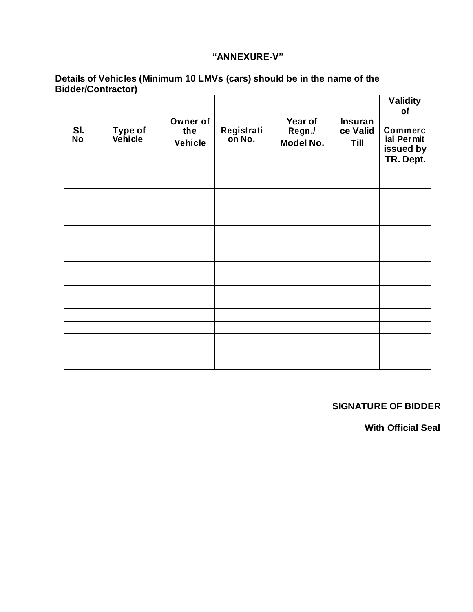### **"ANNEXURE-V"**

#### **Details of Vehicles (Minimum 10 LMVs (cars) should be in the name of the Bidder/Contractor)**

| SI.<br><b>No</b> | Type of<br>Vehicle | Owner of<br>the<br>Vehicle | Registrati<br>on No. | Year of<br>Regn./<br>Model No. | <b>Insuran</b><br>ce Valid<br><b>Till</b> | <b>Validity</b><br>of<br>Commerc<br>ial Permit<br>issued by<br>TR. Dept. |
|------------------|--------------------|----------------------------|----------------------|--------------------------------|-------------------------------------------|--------------------------------------------------------------------------|
|                  |                    |                            |                      |                                |                                           |                                                                          |
|                  |                    |                            |                      |                                |                                           |                                                                          |
|                  |                    |                            |                      |                                |                                           |                                                                          |
|                  |                    |                            |                      |                                |                                           |                                                                          |
|                  |                    |                            |                      |                                |                                           |                                                                          |
|                  |                    |                            |                      |                                |                                           |                                                                          |
|                  |                    |                            |                      |                                |                                           |                                                                          |
|                  |                    |                            |                      |                                |                                           |                                                                          |
|                  |                    |                            |                      |                                |                                           |                                                                          |
|                  |                    |                            |                      |                                |                                           |                                                                          |
|                  |                    |                            |                      |                                |                                           |                                                                          |
|                  |                    |                            |                      |                                |                                           |                                                                          |
|                  |                    |                            |                      |                                |                                           |                                                                          |
|                  |                    |                            |                      |                                |                                           |                                                                          |
|                  |                    |                            |                      |                                |                                           |                                                                          |
|                  |                    |                            |                      |                                |                                           |                                                                          |
|                  |                    |                            |                      |                                |                                           |                                                                          |

### **SIGNATURE OF BIDDER**

**With Official Seal**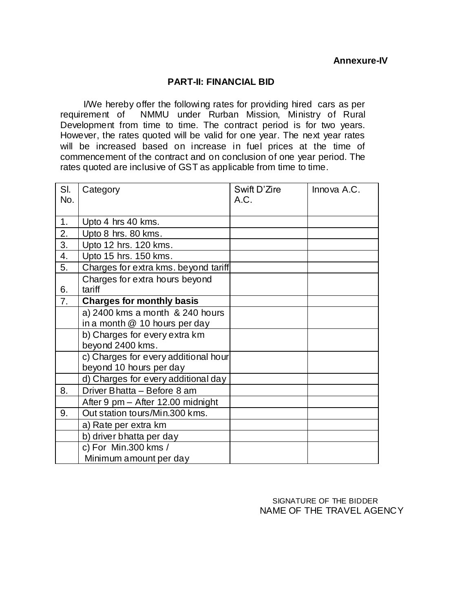#### **PART-II: FINANCIAL BID**

I/We hereby offer the following rates for providing hired cars as per requirement of NMMU under Rurban Mission, Ministry of Rural Development from time to time. The contract period is for two years. However, the rates quoted will be valid for one year. The next year rates will be increased based on increase in fuel prices at the time of commencement of the contract and on conclusion of one year period. The rates quoted are inclusive of GST as applicable from time to time.

| SI. | Category                             | Swift D'Zire | Innova A.C. |
|-----|--------------------------------------|--------------|-------------|
| No. |                                      | A.C.         |             |
|     |                                      |              |             |
| 1.  | Upto 4 hrs 40 kms.                   |              |             |
| 2.  | Upto 8 hrs. 80 kms.                  |              |             |
| 3.  | Upto 12 hrs. 120 kms.                |              |             |
| 4.  | Upto 15 hrs. 150 kms.                |              |             |
| 5.  | Charges for extra kms. beyond tariff |              |             |
|     | Charges for extra hours beyond       |              |             |
| 6.  | tariff                               |              |             |
| 7.  | <b>Charges for monthly basis</b>     |              |             |
|     | a) 2400 kms a month & 240 hours      |              |             |
|     | in a month @ 10 hours per day        |              |             |
|     | b) Charges for every extra km        |              |             |
|     | beyond 2400 kms.                     |              |             |
|     | c) Charges for every additional hour |              |             |
|     | beyond 10 hours per day              |              |             |
|     | d) Charges for every additional day  |              |             |
| 8.  | Driver Bhatta - Before 8 am          |              |             |
|     | After 9 pm - After 12.00 midnight    |              |             |
| 9.  | Out station tours/Min.300 kms.       |              |             |
|     | a) Rate per extra km                 |              |             |
|     | b) driver bhatta per day             |              |             |
|     | c) For Min.300 kms /                 |              |             |
|     | Minimum amount per day               |              |             |

 SIGNATURE OF THE BIDDER NAME OF THE TRAVEL AGENCY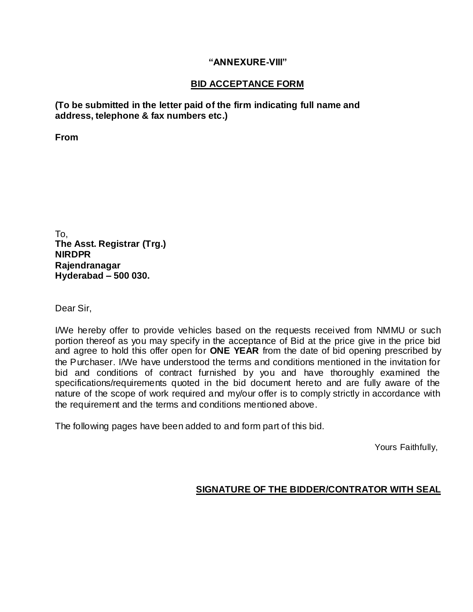#### **"ANNEXURE-VIII"**

### **BID ACCEPTANCE FORM**

**(To be submitted in the letter paid of the firm indicating full name and address, telephone & fax numbers etc.)**

**From**

To, **The Asst. Registrar (Trg.) NIRDPR Rajendranagar Hyderabad – 500 030.**

Dear Sir,

I/We hereby offer to provide vehicles based on the requests received from NMMU or such portion thereof as you may specify in the acceptance of Bid at the price give in the price bid and agree to hold this offer open for **ONE YEAR** from the date of bid opening prescribed by the Purchaser. I/We have understood the terms and conditions mentioned in the invitation for bid and conditions of contract furnished by you and have thoroughly examined the specifications/requirements quoted in the bid document hereto and are fully aware of the nature of the scope of work required and my/our offer is to comply strictly in accordance with the requirement and the terms and conditions mentioned above.

The following pages have been added to and form part of this bid.

Yours Faithfully,

### **SIGNATURE OF THE BIDDER/CONTRATOR WITH SEAL**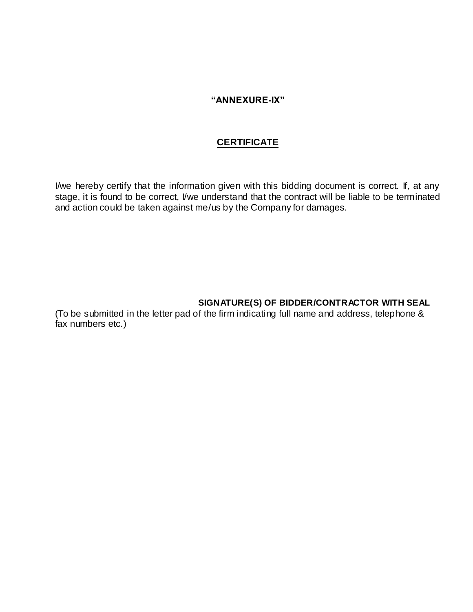#### **"ANNEXURE-IX"**

### **CERTIFICATE**

I/we hereby certify that the information given with this bidding document is correct. If, at any stage, it is found to be correct, I/we understand that the contract will be liable to be terminated and action could be taken against me/us by the Company for damages.

### **SIGNATURE(S) OF BIDDER/CONTRACTOR WITH SEAL**

(To be submitted in the letter pad of the firm indicating full name and address, telephone & fax numbers etc.)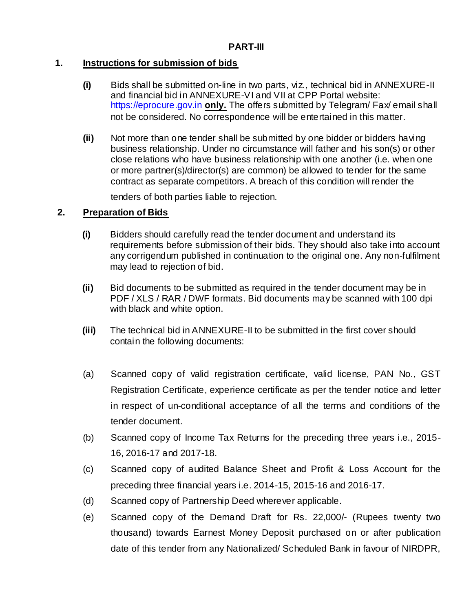# **1. Instructions for submission of bids**

- **(i)** Bids shall be submitted on-line in two parts, viz., technical bid in ANNEXURE-II and financial bid in ANNEXURE-VI and VII at CPP Portal website: [https://eprocure.gov.in](https://eprocure.gov.in/) **only.** The offers submitted by Telegram/ Fax/ email shall not be considered. No correspondence will be entertained in this matter.
- **(ii)** Not more than one tender shall be submitted by one bidder or bidders having business relationship. Under no circumstance will father and his son(s) or other close relations who have business relationship with one another (i.e. when one or more partner(s)/director(s) are common) be allowed to tender for the same contract as separate competitors. A breach of this condition will render the

tenders of both parties liable to rejection.

# **2. Preparation of Bids**

- **(i)** Bidders should carefully read the tender document and understand its requirements before submission of their bids. They should also take into account any corrigendum published in continuation to the original one. Any non-fulfilment may lead to rejection of bid.
- **(ii)** Bid documents to be submitted as required in the tender document may be in PDF / XLS / RAR / DWF formats. Bid documents may be scanned with 100 dpi with black and white option.
- **(iii)** The technical bid in ANNEXURE-II to be submitted in the first cover should contain the following documents:
- (a) Scanned copy of valid registration certificate, valid license, PAN No., GST Registration Certificate, experience certificate as per the tender notice and letter in respect of un-conditional acceptance of all the terms and conditions of the tender document.
- (b) Scanned copy of Income Tax Returns for the preceding three years i.e., 2015- 16, 2016-17 and 2017-18.
- (c) Scanned copy of audited Balance Sheet and Profit & Loss Account for the preceding three financial years i.e. 2014-15, 2015-16 and 2016-17.
- (d) Scanned copy of Partnership Deed wherever applicable.
- (e) Scanned copy of the Demand Draft for Rs. 22,000/- (Rupees twenty two thousand) towards Earnest Money Deposit purchased on or after publication date of this tender from any Nationalized/ Scheduled Bank in favour of NIRDPR,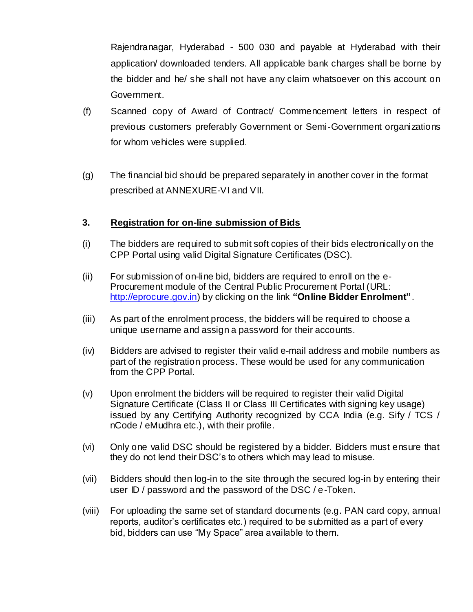Rajendranagar, Hyderabad - 500 030 and payable at Hyderabad with their application/ downloaded tenders. All applicable bank charges shall be borne by the bidder and he/ she shall not have any claim whatsoever on this account on Government.

- (f) Scanned copy of Award of Contract/ Commencement letters in respect of previous customers preferably Government or Semi-Government organizations for whom vehicles were supplied.
- (g) The financial bid should be prepared separately in another cover in the format prescribed at ANNEXURE-VI and VII.

### **3. Registration for on-line submission of Bids**

- (i) The bidders are required to submit soft copies of their bids electronically on the CPP Portal using valid Digital Signature Certificates (DSC).
- (ii) For submission of on-line bid, bidders are required to enroll on the e-Procurement module of the Central Public Procurement Portal (URL: [http://eprocure.gov.in\)](http://eprocure.gov.in/eprocure/app) by clicking on the link **"Online Bidder Enrolment"**.
- (iii) As part of the enrolment process, the bidders will be required to choose a unique username and assign a password for their accounts.
- (iv) Bidders are advised to register their valid e-mail address and mobile numbers as part of the registration process. These would be used for any communication from the CPP Portal.
- (v) Upon enrolment the bidders will be required to register their valid Digital Signature Certificate (Class II or Class III Certificates with signing key usage) issued by any Certifying Authority recognized by CCA India (e.g. Sify / TCS / nCode / eMudhra etc.), with their profile.
- (vi) Only one valid DSC should be registered by a bidder. Bidders must ensure that they do not lend their DSC's to others which may lead to misuse.
- (vii) Bidders should then log-in to the site through the secured log-in by entering their user ID / password and the password of the DSC / e-Token.
- (viii) For uploading the same set of standard documents (e.g. PAN card copy, annual reports, auditor's certificates etc.) required to be submitted as a part of every bid, bidders can use "My Space" area available to them.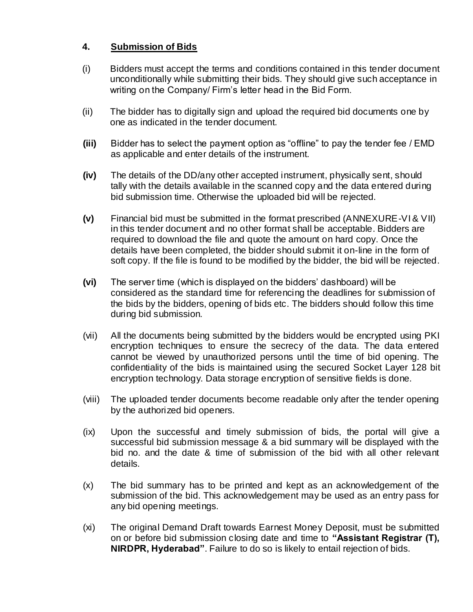# **4. Submission of Bids**

- (i) Bidders must accept the terms and conditions contained in this tender document unconditionally while submitting their bids. They should give such acceptance in writing on the Company/ Firm's letter head in the Bid Form.
- (ii) The bidder has to digitally sign and upload the required bid documents one by one as indicated in the tender document.
- **(iii)** Bidder has to select the payment option as "offline" to pay the tender fee / EMD as applicable and enter details of the instrument.
- **(iv)** The details of the DD/any other accepted instrument, physically sent, should tally with the details available in the scanned copy and the data entered during bid submission time. Otherwise the uploaded bid will be rejected.
- **(v)** Financial bid must be submitted in the format prescribed (ANNEXURE-VI & VII) in this tender document and no other format shall be acceptable. Bidders are required to download the file and quote the amount on hard copy. Once the details have been completed, the bidder should submit it on-line in the form of soft copy. If the file is found to be modified by the bidder, the bid will be rejected.
- **(vi)** The server time (which is displayed on the bidders' dashboard) will be considered as the standard time for referencing the deadlines for submission of the bids by the bidders, opening of bids etc. The bidders should follow this time during bid submission.
- (vii) All the documents being submitted by the bidders would be encrypted using PKI encryption techniques to ensure the secrecy of the data. The data entered cannot be viewed by unauthorized persons until the time of bid opening. The confidentiality of the bids is maintained using the secured Socket Layer 128 bit encryption technology. Data storage encryption of sensitive fields is done.
- (viii) The uploaded tender documents become readable only after the tender opening by the authorized bid openers.
- (ix) Upon the successful and timely submission of bids, the portal will give a successful bid submission message & a bid summary will be displayed with the bid no. and the date & time of submission of the bid with all other relevant details.
- (x) The bid summary has to be printed and kept as an acknowledgement of the submission of the bid. This acknowledgement may be used as an entry pass for any bid opening meetings.
- (xi) The original Demand Draft towards Earnest Money Deposit, must be submitted on or before bid submission closing date and time to **"Assistant Registrar (T), NIRDPR, Hyderabad"**. Failure to do so is likely to entail rejection of bids.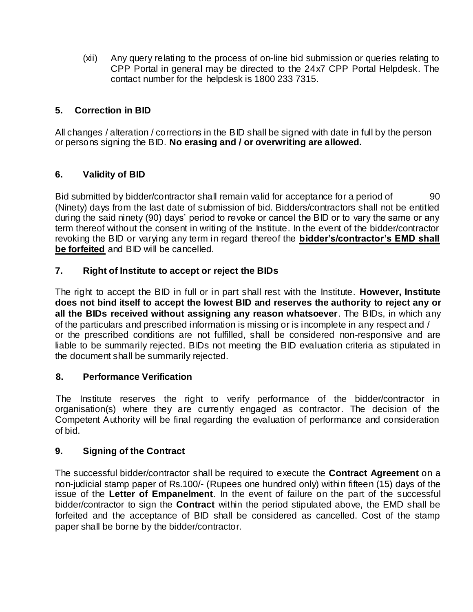(xii) Any query relating to the process of on-line bid submission or queries relating to CPP Portal in general may be directed to the 24x7 CPP Portal Helpdesk. The contact number for the helpdesk is 1800 233 7315.

# **5. Correction in BID**

All changes / alteration / corrections in the BID shall be signed with date in full by the person or persons signing the BID. **No erasing and / or overwriting are allowed.**

# **6. Validity of BID**

Bid submitted by bidder/contractor shall remain valid for acceptance for a period of 90 (Ninety) days from the last date of submission of bid. Bidders/contractors shall not be entitled during the said ninety (90) days' period to revoke or cancel the BID or to vary the same or any term thereof without the consent in writing of the Institute. In the event of the bidder/contractor revoking the BID or varying any term in regard thereof the **bidder's/contractor's EMD shall be forfeited** and BID will be cancelled.

# **7. Right of Institute to accept or reject the BIDs**

The right to accept the BID in full or in part shall rest with the Institute. **However, Institute does not bind itself to accept the lowest BID and reserves the authority to reject any or all the BIDs received without assigning any reason whatsoever**. The BIDs, in which any of the particulars and prescribed information is missing or is incomplete in any respect and / or the prescribed conditions are not fulfilled, shall be considered non-responsive and are liable to be summarily rejected. BIDs not meeting the BID evaluation criteria as stipulated in the document shall be summarily rejected.

### **8. Performance Verification**

The Institute reserves the right to verify performance of the bidder/contractor in organisation(s) where they are currently engaged as contractor. The decision of the Competent Authority will be final regarding the evaluation of performance and consideration of bid.

### **9. Signing of the Contract**

The successful bidder/contractor shall be required to execute the **Contract Agreement** on a non-judicial stamp paper of Rs.100/- (Rupees one hundred only) within fifteen (15) days of the issue of the **Letter of Empanelment**. In the event of failure on the part of the successful bidder/contractor to sign the **Contract** within the period stipulated above, the EMD shall be forfeited and the acceptance of BID shall be considered as cancelled. Cost of the stamp paper shall be borne by the bidder/contractor.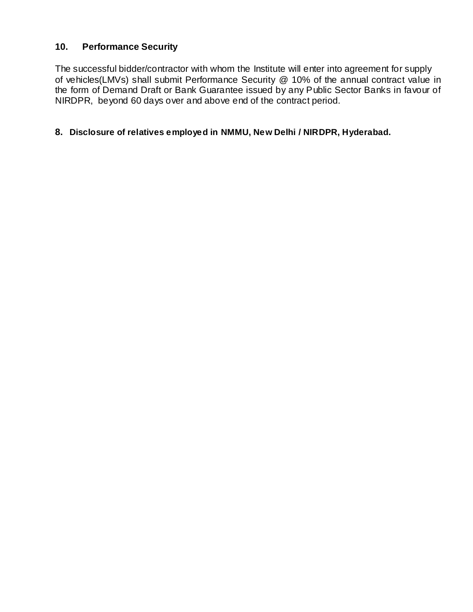# **10. Performance Security**

The successful bidder/contractor with whom the Institute will enter into agreement for supply of vehicles(LMVs) shall submit Performance Security @ 10% of the annual contract value in the form of Demand Draft or Bank Guarantee issued by any Public Sector Banks in favour of NIRDPR, beyond 60 days over and above end of the contract period.

#### **8. Disclosure of relatives employed in NMMU, New Delhi / NIRDPR, Hyderabad.**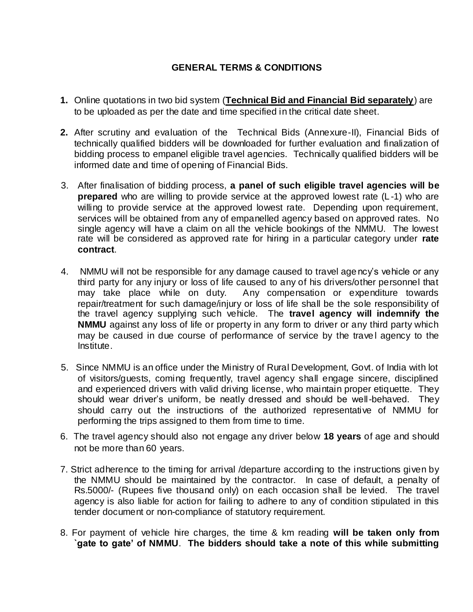# **GENERAL TERMS & CONDITIONS**

- **1.** Online quotations in two bid system (**Technical Bid and Financial Bid separately**) are to be uploaded as per the date and time specified in the critical date sheet.
- **2.** After scrutiny and evaluation of the Technical Bids (Annexure-II), Financial Bids of technically qualified bidders will be downloaded for further evaluation and finalization of bidding process to empanel eligible travel agencies. Technically qualified bidders will be informed date and time of opening of Financial Bids.
- 3. After finalisation of bidding process, **a panel of such eligible travel agencies will be prepared** who are willing to provide service at the approved lowest rate (L-1) who are willing to provide service at the approved lowest rate. Depending upon requirement, services will be obtained from any of empanelled agency based on approved rates. No single agency will have a claim on all the vehicle bookings of the NMMU. The lowest rate will be considered as approved rate for hiring in a particular category under **rate contract**.
- 4. NMMU will not be responsible for any damage caused to travel age ncy's vehicle or any third party for any injury or loss of life caused to any of his drivers/other personnel that may take place while on duty. Any compensation or expenditure towards repair/treatment for such damage/injury or loss of life shall be the sole responsibility of the travel agency supplying such vehicle. The **travel agency will indemnify the NMMU** against any loss of life or property in any form to driver or any third party which may be caused in due course of performance of service by the travel agency to the Institute.
- 5. Since NMMU is an office under the Ministry of Rural Development, Govt. of India with lot of visitors/guests, coming frequently, travel agency shall engage sincere, disciplined and experienced drivers with valid driving license, who maintain proper etiquette. They should wear driver's uniform, be neatly dressed and should be well-behaved. They should carry out the instructions of the authorized representative of NMMU for performing the trips assigned to them from time to time.
- 6. The travel agency should also not engage any driver below **18 years** of age and should not be more than 60 years.
- 7. Strict adherence to the timing for arrival /departure according to the instructions given by the NMMU should be maintained by the contractor. In case of default, a penalty of Rs.5000/- (Rupees five thousand only) on each occasion shall be levied. The travel agency is also liable for action for failing to adhere to any of condition stipulated in this tender document or non-compliance of statutory requirement.
- 8. For payment of vehicle hire charges, the time & km reading **will be taken only from `gate to gate' of NMMU**. **The bidders should take a note of this while submitting**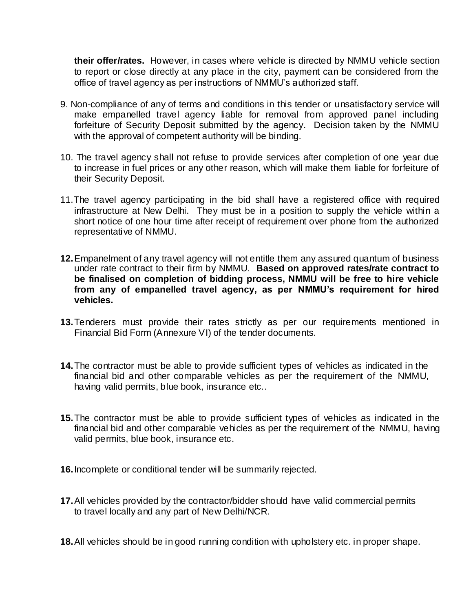**their offer/rates.** However, in cases where vehicle is directed by NMMU vehicle section to report or close directly at any place in the city, payment can be considered from the office of travel agency as per instructions of NMMU's authorized staff.

- 9. Non-compliance of any of terms and conditions in this tender or unsatisfactory service will make empanelled travel agency liable for removal from approved panel including forfeiture of Security Deposit submitted by the agency. Decision taken by the NMMU with the approval of competent authority will be binding.
- 10. The travel agency shall not refuse to provide services after completion of one year due to increase in fuel prices or any other reason, which will make them liable for forfeiture of their Security Deposit.
- 11.The travel agency participating in the bid shall have a registered office with required infrastructure at New Delhi. They must be in a position to supply the vehicle within a short notice of one hour time after receipt of requirement over phone from the authorized representative of NMMU.
- **12.**Empanelment of any travel agency will not entitle them any assured quantum of business under rate contract to their firm by NMMU. **Based on approved rates/rate contract to be finalised on completion of bidding process, NMMU will be free to hire vehicle from any of empanelled travel agency, as per NMMU's requirement for hired vehicles.**
- **13.**Tenderers must provide their rates strictly as per our requirements mentioned in Financial Bid Form (Annexure VI) of the tender documents.
- **14.**The contractor must be able to provide sufficient types of vehicles as indicated in the financial bid and other comparable vehicles as per the requirement of the NMMU, having valid permits, blue book, insurance etc..
- **15.**The contractor must be able to provide sufficient types of vehicles as indicated in the financial bid and other comparable vehicles as per the requirement of the NMMU, having valid permits, blue book, insurance etc.
- **16.**Incomplete or conditional tender will be summarily rejected.
- **17.**All vehicles provided by the contractor/bidder should have valid commercial permits to travel locally and any part of New Delhi/NCR.
- **18.**All vehicles should be in good running condition with upholstery etc. in proper shape.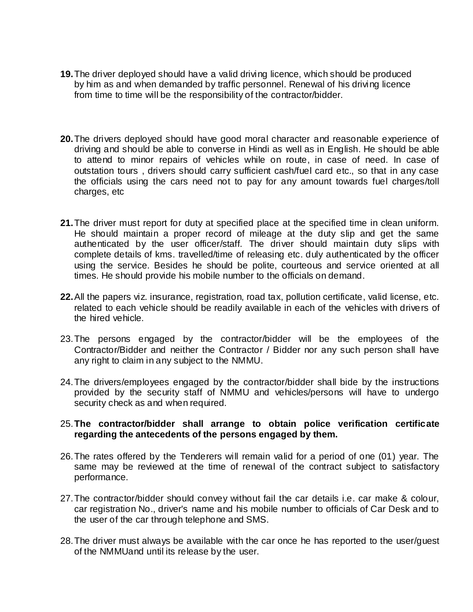- **19.**The driver deployed should have a valid driving licence, which should be produced by him as and when demanded by traffic personnel. Renewal of his driving licence from time to time will be the responsibility of the contractor/bidder.
- **20.**The drivers deployed should have good moral character and reasonable experience of driving and should be able to converse in Hindi as well as in English. He should be able to attend to minor repairs of vehicles while on route, in case of need. In case of outstation tours , drivers should carry sufficient cash/fuel card etc., so that in any case the officials using the cars need not to pay for any amount towards fuel charges/toll charges, etc
- **21.**The driver must report for duty at specified place at the specified time in clean uniform. He should maintain a proper record of mileage at the duty slip and get the same authenticated by the user officer/staff. The driver should maintain duty slips with complete details of kms. travelled/time of releasing etc. duly authenticated by the officer using the service. Besides he should be polite, courteous and service oriented at all times. He should provide his mobile number to the officials on demand.
- **22.**All the papers viz. insurance, registration, road tax, pollution certificate, valid license, etc. related to each vehicle should be readily available in each of the vehicles with drivers of the hired vehicle.
- 23.The persons engaged by the contractor/bidder will be the employees of the Contractor/Bidder and neither the Contractor / Bidder nor any such person shall have any right to claim in any subject to the NMMU.
- 24.The drivers/employees engaged by the contractor/bidder shall bide by the instructions provided by the security staff of NMMU and vehicles/persons will have to undergo security check as and when required.

#### 25.**The contractor/bidder shall arrange to obtain police verification certificate regarding the antecedents of the persons engaged by them.**

- 26.The rates offered by the Tenderers will remain valid for a period of one (01) year. The same may be reviewed at the time of renewal of the contract subject to satisfactory performance.
- 27.The contractor/bidder should convey without fail the car details i.e. car make & colour, car registration No., driver's name and his mobile number to officials of Car Desk and to the user of the car through telephone and SMS.
- 28.The driver must always be available with the car once he has reported to the user/guest of the NMMUand until its release by the user.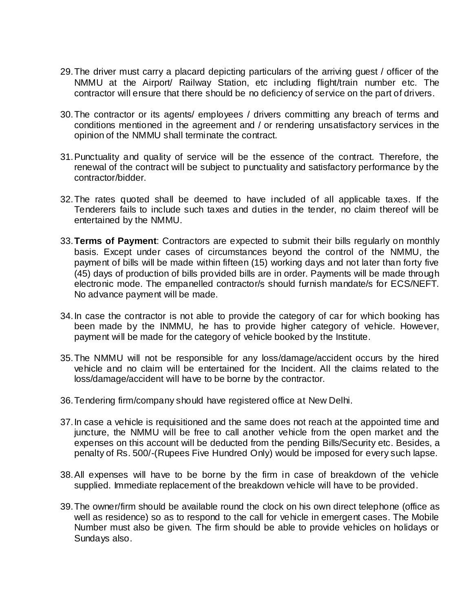- 29.The driver must carry a placard depicting particulars of the arriving guest / officer of the NMMU at the Airport/ Railway Station, etc including flight/train number etc. The contractor will ensure that there should be no deficiency of service on the part of drivers.
- 30.The contractor or its agents/ employees / drivers committing any breach of terms and conditions mentioned in the agreement and / or rendering unsatisfactory services in the opinion of the NMMU shall terminate the contract.
- 31.Punctuality and quality of service will be the essence of the contract. Therefore, the renewal of the contract will be subject to punctuality and satisfactory performance by the contractor/bidder.
- 32.The rates quoted shall be deemed to have included of all applicable taxes. If the Tenderers fails to include such taxes and duties in the tender, no claim thereof will be entertained by the NMMU.
- 33.**Terms of Payment**: Contractors are expected to submit their bills regularly on monthly basis. Except under cases of circumstances beyond the control of the NMMU, the payment of bills will be made within fifteen (15) working days and not later than forty five (45) days of production of bills provided bills are in order. Payments will be made through electronic mode. The empanelled contractor/s should furnish mandate/s for ECS/NEFT. No advance payment will be made.
- 34.In case the contractor is not able to provide the category of car for which booking has been made by the INMMU, he has to provide higher category of vehicle. However, payment will be made for the category of vehicle booked by the Institute.
- 35.The NMMU will not be responsible for any loss/damage/accident occurs by the hired vehicle and no claim will be entertained for the Incident. All the claims related to the loss/damage/accident will have to be borne by the contractor.
- 36.Tendering firm/company should have registered office at New Delhi.
- 37.In case a vehicle is requisitioned and the same does not reach at the appointed time and juncture, the NMMU will be free to call another vehicle from the open market and the expenses on this account will be deducted from the pending Bills/Security etc. Besides, a penalty of Rs. 500/-(Rupees Five Hundred Only) would be imposed for every such lapse.
- 38.All expenses will have to be borne by the firm in case of breakdown of the vehicle supplied. Immediate replacement of the breakdown vehicle will have to be provided.
- 39.The owner/firm should be available round the clock on his own direct telephone (office as well as residence) so as to respond to the call for vehicle in emergent cases. The Mobile Number must also be given. The firm should be able to provide vehicles on holidays or Sundays also.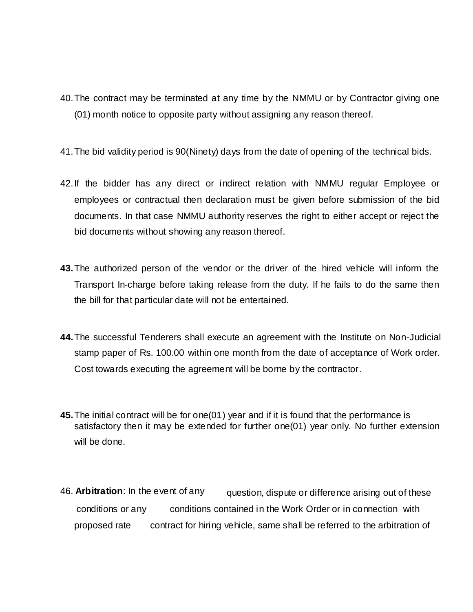- 40.The contract may be terminated at any time by the NMMU or by Contractor giving one (01) month notice to opposite party without assigning any reason thereof.
- 41.The bid validity period is 90(Ninety) days from the date of opening of the technical bids.
- 42.If the bidder has any direct or indirect relation with NMMU regular Employee or employees or contractual then declaration must be given before submission of the bid documents. In that case NMMU authority reserves the right to either accept or reject the bid documents without showing any reason thereof.
- **43.**The authorized person of the vendor or the driver of the hired vehicle will inform the Transport In-charge before taking release from the duty. If he fails to do the same then the bill for that particular date will not be entertained.
- **44.**The successful Tenderers shall execute an agreement with the Institute on Non-Judicial stamp paper of Rs. 100.00 within one month from the date of acceptance of Work order. Cost towards executing the agreement will be borne by the contractor.
- **45.**The initial contract will be for one(01) year and if it is found that the performance is satisfactory then it may be extended for further one(01) year only. No further extension will be done.
- 46. **Arbitration**: In the event of any question, dispute or difference arising out of these conditions or any conditions contained in the Work Order or in connection with proposed rate contract for hiring vehicle, same shall be referred to the arbitration of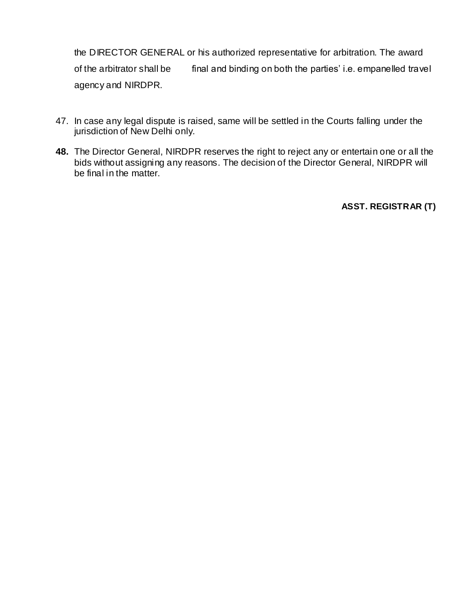the DIRECTOR GENERAL or his authorized representative for arbitration. The award of the arbitrator shall be final and binding on both the parties' i.e. empanelled travel agency and NIRDPR.

- 47. In case any legal dispute is raised, same will be settled in the Courts falling under the jurisdiction of New Delhi only.
- **48.** The Director General, NIRDPR reserves the right to reject any or entertain one or all the bids without assigning any reasons. The decision of the Director General, NIRDPR will be final in the matter.

**ASST. REGISTRAR (T)**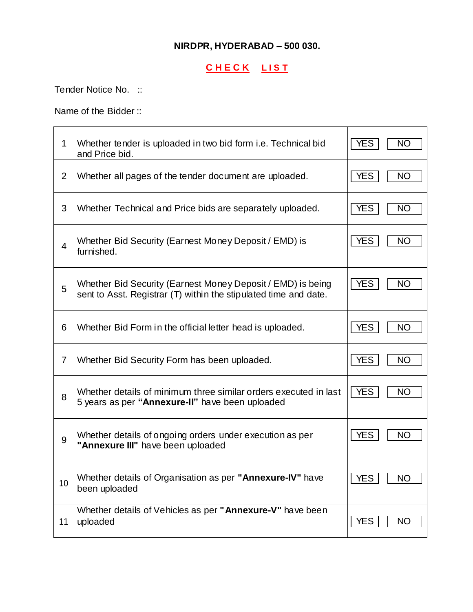# **NIRDPR, HYDERABAD – 500 030.**

# **C H E C K L I S T**

Tender Notice No. ::

Name of the Bidder ::

| $\mathbf{1}$            | Whether tender is uploaded in two bid form <i>i.e.</i> Technical bid<br>and Price bid.                                          | <b>YES</b> | <b>NO</b> |
|-------------------------|---------------------------------------------------------------------------------------------------------------------------------|------------|-----------|
| $\overline{2}$          | Whether all pages of the tender document are uploaded.                                                                          | <b>YES</b> | <b>NO</b> |
| 3                       | Whether Technical and Price bids are separately uploaded.                                                                       | <b>YES</b> | <b>NO</b> |
| $\overline{\mathbf{4}}$ | Whether Bid Security (Earnest Money Deposit / EMD) is<br>furnished.                                                             | <b>YES</b> | <b>NO</b> |
| 5                       | Whether Bid Security (Earnest Money Deposit / EMD) is being<br>sent to Asst. Registrar (T) within the stipulated time and date. | <b>YES</b> | <b>NO</b> |
| 6                       | Whether Bid Form in the official letter head is uploaded.                                                                       | <b>YES</b> | <b>NO</b> |
| $\overline{7}$          | Whether Bid Security Form has been uploaded.                                                                                    | <b>YES</b> | <b>NO</b> |
| 8                       | Whether details of minimum three similar orders executed in last<br>5 years as per "Annexure-II" have been uploaded             | <b>YES</b> | <b>NO</b> |
| 9                       | Whether details of ongoing orders under execution as per<br>"Annexure III" have been uploaded                                   | <b>YES</b> | <b>NO</b> |
| 10                      | Whether details of Organisation as per "Annexure-IV" have<br>been uploaded                                                      | <b>YES</b> | <b>NO</b> |
| 11                      | Whether details of Vehicles as per "Annexure-V" have been<br>uploaded                                                           | <b>YES</b> | <b>NO</b> |